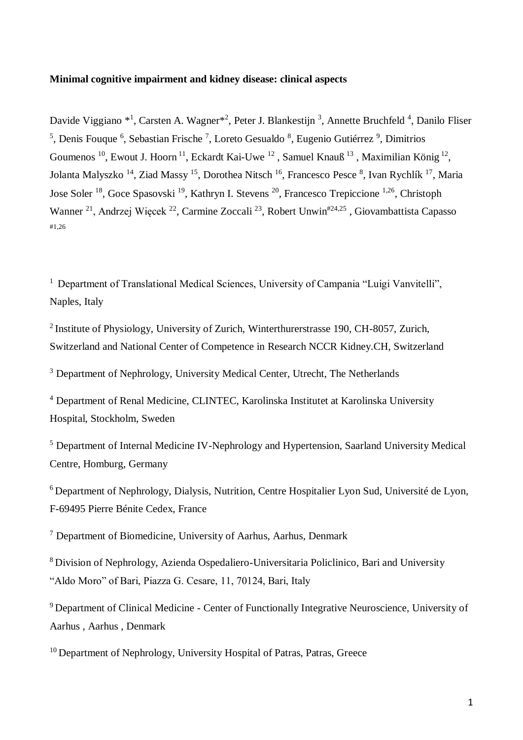#### **Minimal cognitive impairment and kidney disease: clinical aspects**

Davide Viggiano \*<sup>1</sup>, Carsten A. Wagner<sup>\*2</sup>, Peter J. Blankestijn<sup>3</sup>, Annette Bruchfeld<sup>4</sup>, Danilo Fliser <sup>5</sup>, Denis Fouque <sup>6</sup>, Sebastian Frische<sup>7</sup>, Loreto Gesualdo<sup>8</sup>, Eugenio Gutiérrez<sup>9</sup>, Dimitrios Goumenos <sup>10</sup>, Ewout J. Hoorn<sup>11</sup>, Eckardt Kai-Uwe <sup>12</sup>, Samuel Knauß<sup>13</sup>, Maximilian König<sup>12</sup>, Jolanta Malyszko<sup>14</sup>, Ziad Massy<sup>15</sup>, Dorothea Nitsch<sup>16</sup>, Francesco Pesce <sup>8</sup>, Ivan Rychlík<sup>17</sup>, Maria Jose Soler<sup>18</sup>, Goce Spasovski<sup>19</sup>, Kathryn I. Stevens<sup>20</sup>, Francesco Trepiccione<sup>1,26</sup>, Christoph Wanner <sup>21</sup>, Andrzej Więcek <sup>22</sup>, Carmine Zoccali <sup>23</sup>, Robert Unwin<sup>#24,25</sup>, Giovambattista Capasso #1,26

<sup>1</sup> Department of Translational Medical Sciences, University of Campania "Luigi Vanvitelli", Naples, Italy

<sup>2</sup> Institute of Physiology, University of Zurich, Winterthurerstrasse 190, CH-8057, Zurich, Switzerland and National Center of Competence in Research NCCR Kidney.CH, Switzerland

<sup>3</sup> Department of Nephrology, University Medical Center, Utrecht, The Netherlands

<sup>4</sup> Department of Renal Medicine, CLINTEC, Karolinska Institutet at Karolinska University Hospital, Stockholm, Sweden

<sup>5</sup> Department of Internal Medicine IV-Nephrology and Hypertension, Saarland University Medical Centre, Homburg, Germany

 $6$  Department of Nephrology, Dialysis, Nutrition, Centre Hospitalier Lyon Sud, Université de Lyon, F-69495 Pierre Bénite Cedex, France

<sup>7</sup> Department of Biomedicine, University of Aarhus, Aarhus, Denmark

<sup>8</sup>Division of Nephrology, Azienda Ospedaliero-Universitaria Policlinico, Bari and University "Aldo Moro" of Bari, Piazza G. Cesare, 11, 70124, Bari, Italy

<sup>9</sup> Department of Clinical Medicine - Center of Functionally Integrative Neuroscience, University of Aarhus , Aarhus , Denmark

<sup>10</sup> Department of Nephrology, University Hospital of Patras, Patras, Greece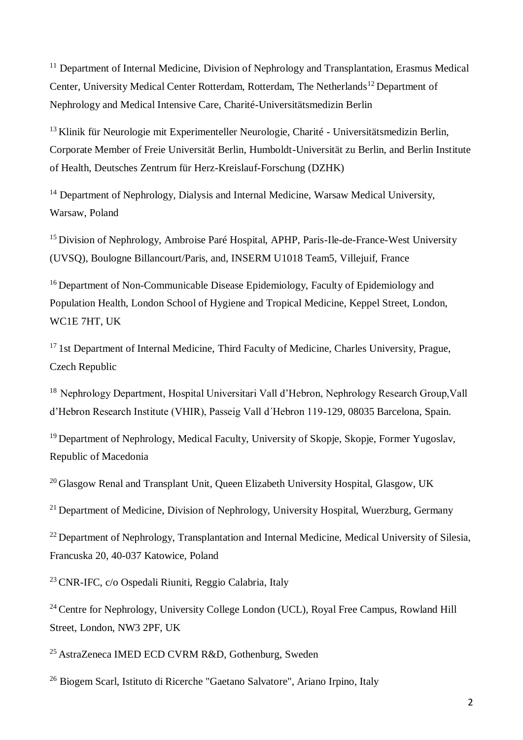<sup>11</sup> Department of Internal Medicine, Division of Nephrology and Transplantation, Erasmus Medical Center, University Medical Center Rotterdam, Rotterdam, The Netherlands<sup>12</sup> Department of Nephrology and Medical Intensive Care, Charité-Universitätsmedizin Berlin

 $13$  Klinik für Neurologie mit Experimenteller Neurologie, Charité - Universitätsmedizin Berlin, Corporate Member of Freie Universität Berlin, Humboldt-Universität zu Berlin, and Berlin Institute of Health, Deutsches Zentrum für Herz-Kreislauf-Forschung (DZHK)

<sup>14</sup> Department of Nephrology, Dialysis and Internal Medicine, Warsaw Medical University, Warsaw, Poland

<sup>15</sup> Division of Nephrology, Ambroise Paré Hospital, APHP, Paris-Ile-de-France-West University (UVSQ), Boulogne Billancourt/Paris, and, INSERM U1018 Team5, Villejuif, France

<sup>16</sup> Department of Non-Communicable Disease Epidemiology, Faculty of Epidemiology and Population Health, London School of Hygiene and Tropical Medicine, Keppel Street, London, WC1E 7HT, UK

<sup>17</sup> 1st Department of Internal Medicine, Third Faculty of Medicine, Charles University, Prague, Czech Republic

<sup>18</sup> Nephrology Department, Hospital Universitari Vall d'Hebron, Nephrology Research Group, Vall d'Hebron Research Institute (VHIR), Passeig Vall d´Hebron 119-129, 08035 Barcelona, Spain.

<sup>19</sup> Department of Nephrology, Medical Faculty, University of Skopje, Skopje, Former Yugoslav, Republic of Macedonia

<sup>20</sup>Glasgow Renal and Transplant Unit, Queen Elizabeth University Hospital, Glasgow, UK

<sup>21</sup> Department of Medicine, Division of Nephrology, University Hospital, Wuerzburg, Germany

<sup>22</sup> Department of Nephrology, Transplantation and Internal Medicine, Medical University of Silesia, Francuska 20, 40-037 Katowice, Poland

<sup>23</sup>CNR-IFC, c/o Ospedali Riuniti, Reggio Calabria, Italy

<sup>24</sup> Centre for Nephrology, University College London (UCL), Royal Free Campus, Rowland Hill Street, London, NW3 2PF, UK

<sup>25</sup> AstraZeneca IMED ECD CVRM R&D, Gothenburg, Sweden

<sup>26</sup> Biogem Scarl, Istituto di Ricerche "Gaetano Salvatore", Ariano Irpino, Italy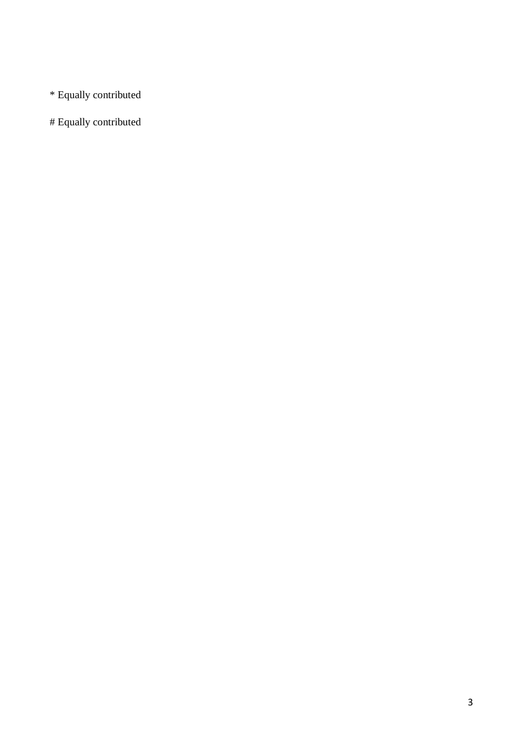\* Equally contributed

# Equally contributed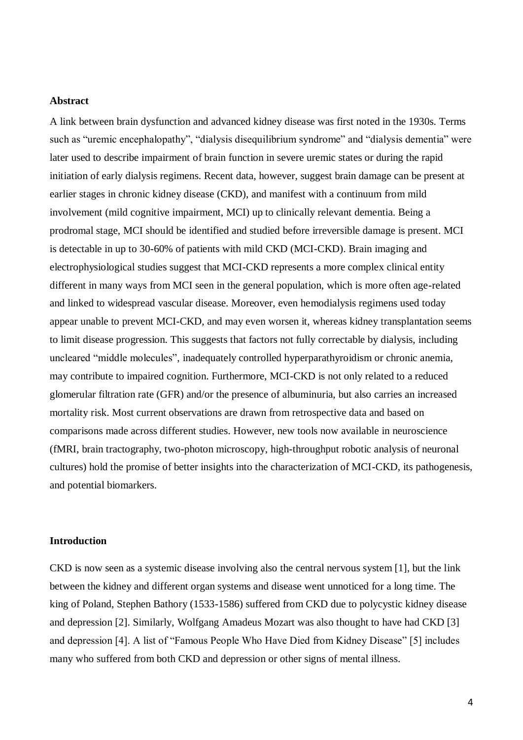#### **Abstract**

A link between brain dysfunction and advanced kidney disease was first noted in the 1930s. Terms such as "uremic encephalopathy", "dialysis disequilibrium syndrome" and "dialysis dementia" were later used to describe impairment of brain function in severe uremic states or during the rapid initiation of early dialysis regimens. Recent data, however, suggest brain damage can be present at earlier stages in chronic kidney disease (CKD), and manifest with a continuum from mild involvement (mild cognitive impairment, MCI) up to clinically relevant dementia. Being a prodromal stage, MCI should be identified and studied before irreversible damage is present. MCI is detectable in up to 30-60% of patients with mild CKD (MCI-CKD). Brain imaging and electrophysiological studies suggest that MCI-CKD represents a more complex clinical entity different in many ways from MCI seen in the general population, which is more often age-related and linked to widespread vascular disease. Moreover, even hemodialysis regimens used today appear unable to prevent MCI-CKD, and may even worsen it, whereas kidney transplantation seems to limit disease progression. This suggests that factors not fully correctable by dialysis, including uncleared "middle molecules", inadequately controlled hyperparathyroidism or chronic anemia, may contribute to impaired cognition. Furthermore, MCI-CKD is not only related to a reduced glomerular filtration rate (GFR) and/or the presence of albuminuria, but also carries an increased mortality risk. Most current observations are drawn from retrospective data and based on comparisons made across different studies. However, new tools now available in neuroscience (fMRI, brain tractography, two-photon microscopy, high-throughput robotic analysis of neuronal cultures) hold the promise of better insights into the characterization of MCI-CKD, its pathogenesis, and potential biomarkers.

### **Introduction**

CKD is now seen as a systemic disease involving also the central nervous system [1], but the link between the kidney and different organ systems and disease went unnoticed for a long time. The king of Poland, Stephen Bathory (1533-1586) suffered from CKD due to polycystic kidney disease and depression [2]. Similarly, Wolfgang Amadeus Mozart was also thought to have had CKD [3] and depression [4]. A list of "Famous People Who Have Died from Kidney Disease" [5] includes many who suffered from both CKD and depression or other signs of mental illness.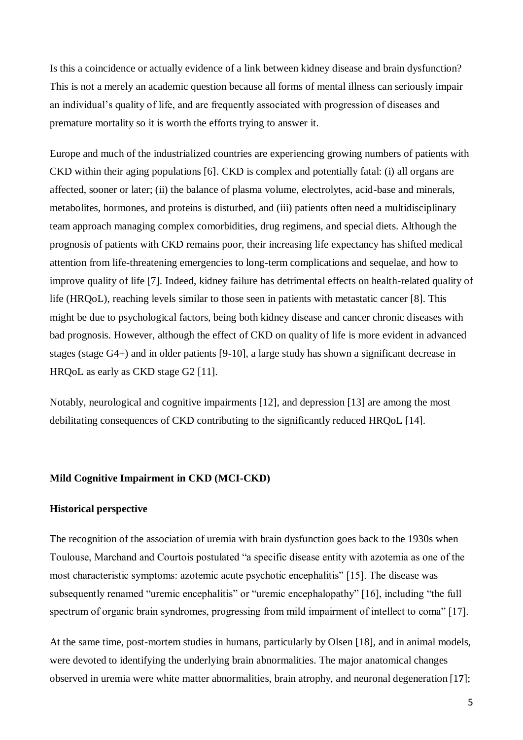Is this a coincidence or actually evidence of a link between kidney disease and brain dysfunction? This is not a merely an academic question because all forms of mental illness can seriously impair an individual's quality of life, and are frequently associated with progression of diseases and premature mortality so it is worth the efforts trying to answer it.

Europe and much of the industrialized countries are experiencing growing numbers of patients with CKD within their aging populations [6]. CKD is complex and potentially fatal: (i) all organs are affected, sooner or later; (ii) the balance of plasma volume, electrolytes, acid-base and minerals, metabolites, hormones, and proteins is disturbed, and (iii) patients often need a multidisciplinary team approach managing complex comorbidities, drug regimens, and special diets. Although the prognosis of patients with CKD remains poor, their increasing life expectancy has shifted medical attention from life-threatening emergencies to long-term complications and sequelae, and how to improve quality of life [7]. Indeed, kidney failure has detrimental effects on health-related quality of life (HRQoL), reaching levels similar to those seen in patients with metastatic cancer [8]. This might be due to psychological factors, being both kidney disease and cancer chronic diseases with bad prognosis. However, although the effect of CKD on quality of life is more evident in advanced stages (stage G4+) and in older patients [9-10], a large study has shown a significant decrease in HRQoL as early as CKD stage G2 [11].

Notably, neurological and cognitive impairments [12], and depression [13] are among the most debilitating consequences of CKD contributing to the significantly reduced HRQoL [14].

### **Mild Cognitive Impairment in CKD (MCI-CKD)**

#### **Historical perspective**

The recognition of the association of uremia with brain dysfunction goes back to the 1930s when Toulouse, Marchand and Courtois postulated "a specific disease entity with azotemia as one of the most characteristic symptoms: azotemic acute psychotic encephalitis" [15]. The disease was subsequently renamed "uremic encephalitis" or "uremic encephalopathy" [16], including "the full spectrum of organic brain syndromes, progressing from mild impairment of intellect to coma" [17].

At the same time, post-mortem studies in humans, particularly by Olsen [18], and in animal models, were devoted to identifying the underlying brain abnormalities. The major anatomical changes observed in uremia were white matter abnormalities, brain atrophy, and neuronal degeneration [1**7**];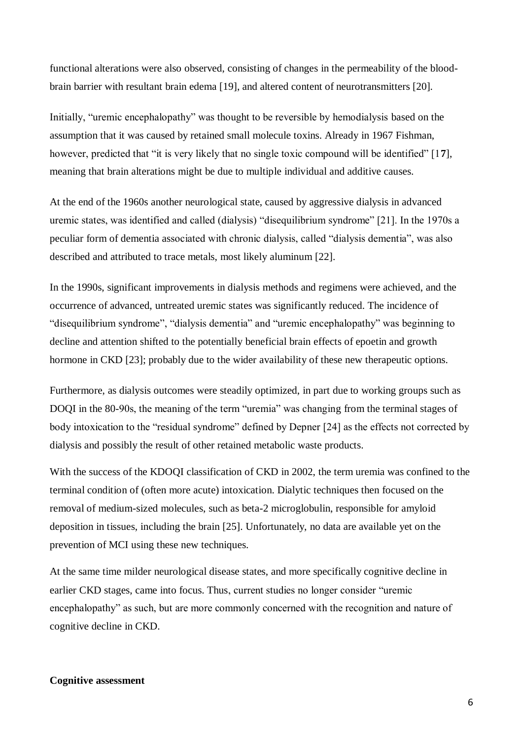functional alterations were also observed, consisting of changes in the permeability of the bloodbrain barrier with resultant brain edema [19], and altered content of neurotransmitters [20].

Initially, "uremic encephalopathy" was thought to be reversible by hemodialysis based on the assumption that it was caused by retained small molecule toxins. Already in 1967 Fishman, however, predicted that "it is very likely that no single toxic compound will be identified" [1**7**], meaning that brain alterations might be due to multiple individual and additive causes.

At the end of the 1960s another neurological state, caused by aggressive dialysis in advanced uremic states, was identified and called (dialysis) "disequilibrium syndrome" [21]. In the 1970s a peculiar form of dementia associated with chronic dialysis, called "dialysis dementia", was also described and attributed to trace metals, most likely aluminum [22].

In the 1990s, significant improvements in dialysis methods and regimens were achieved, and the occurrence of advanced, untreated uremic states was significantly reduced. The incidence of "disequilibrium syndrome", "dialysis dementia" and "uremic encephalopathy" was beginning to decline and attention shifted to the potentially beneficial brain effects of epoetin and growth hormone in CKD [23]; probably due to the wider availability of these new therapeutic options.

Furthermore, as dialysis outcomes were steadily optimized, in part due to working groups such as DOQI in the 80-90s, the meaning of the term "uremia" was changing from the terminal stages of body intoxication to the "residual syndrome" defined by Depner [24] as the effects not corrected by dialysis and possibly the result of other retained metabolic waste products.

With the success of the KDOQI classification of CKD in 2002, the term uremia was confined to the terminal condition of (often more acute) intoxication. Dialytic techniques then focused on the removal of medium-sized molecules, such as beta-2 microglobulin, responsible for amyloid deposition in tissues, including the brain [25]. Unfortunately, no data are available yet on the prevention of MCI using these new techniques.

At the same time milder neurological disease states, and more specifically cognitive decline in earlier CKD stages, came into focus. Thus, current studies no longer consider "uremic encephalopathy" as such, but are more commonly concerned with the recognition and nature of cognitive decline in CKD.

## **Cognitive assessment**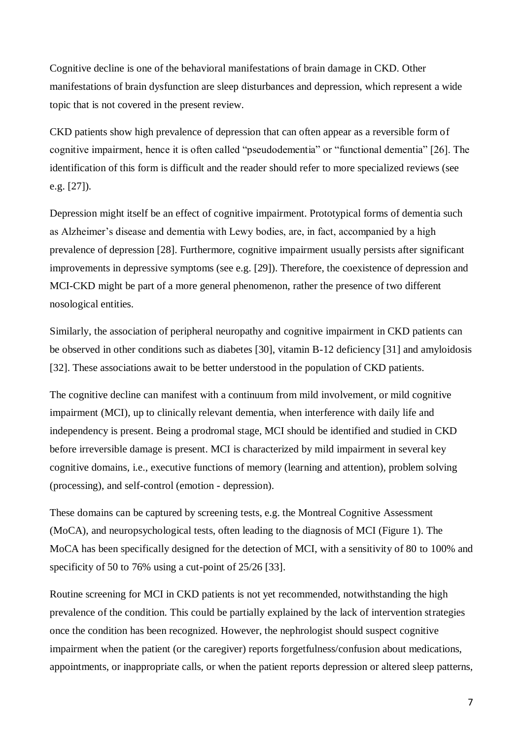Cognitive decline is one of the behavioral manifestations of brain damage in CKD. Other manifestations of brain dysfunction are sleep disturbances and depression, which represent a wide topic that is not covered in the present review.

CKD patients show high prevalence of depression that can often appear as a reversible form of cognitive impairment, hence it is often called "pseudodementia" or "functional dementia" [26]. The identification of this form is difficult and the reader should refer to more specialized reviews (see e.g. [27]).

Depression might itself be an effect of cognitive impairment. Prototypical forms of dementia such as Alzheimer's disease and dementia with Lewy bodies, are, in fact, accompanied by a high prevalence of depression [28]. Furthermore, cognitive impairment usually persists after significant improvements in depressive symptoms (see e.g. [29]). Therefore, the coexistence of depression and MCI-CKD might be part of a more general phenomenon, rather the presence of two different nosological entities.

Similarly, the association of peripheral neuropathy and cognitive impairment in CKD patients can be observed in other conditions such as diabetes [30], vitamin B-12 deficiency [31] and amyloidosis [32]. These associations await to be better understood in the population of CKD patients.

The cognitive decline can manifest with a continuum from mild involvement, or mild cognitive impairment (MCI), up to clinically relevant dementia, when interference with daily life and independency is present. Being a prodromal stage, MCI should be identified and studied in CKD before irreversible damage is present. MCI is characterized by mild impairment in several key cognitive domains, i.e., executive functions of memory (learning and attention), problem solving (processing), and self-control (emotion - depression).

These domains can be captured by screening tests, e.g. the Montreal Cognitive Assessment (MoCA), and neuropsychological tests, often leading to the diagnosis of MCI (Figure 1). The MoCA has been specifically designed for the detection of MCI, with a sensitivity of 80 to 100% and specificity of 50 to 76% using a cut-point of 25/26 [33].

Routine screening for MCI in CKD patients is not yet recommended, notwithstanding the high prevalence of the condition. This could be partially explained by the lack of intervention strategies once the condition has been recognized. However, the nephrologist should suspect cognitive impairment when the patient (or the caregiver) reports forgetfulness/confusion about medications, appointments, or inappropriate calls, or when the patient reports depression or altered sleep patterns,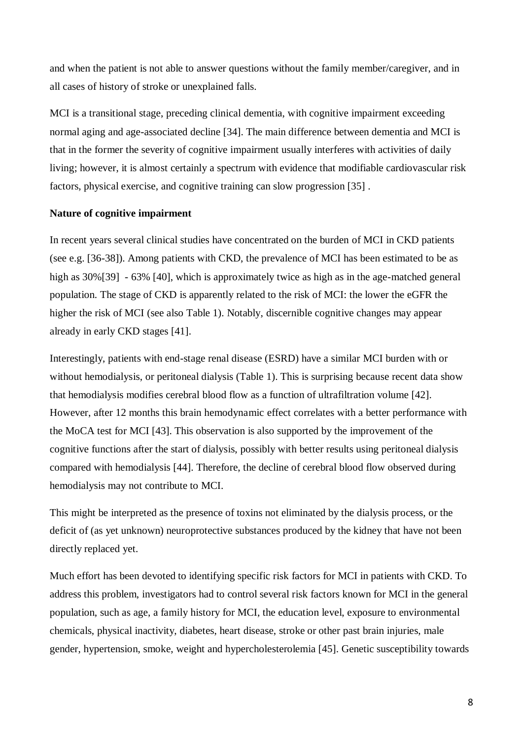and when the patient is not able to answer questions without the family member/caregiver, and in all cases of history of stroke or unexplained falls.

MCI is a transitional stage, preceding clinical dementia, with cognitive impairment exceeding normal aging and age-associated decline [34]. The main difference between dementia and MCI is that in the former the severity of cognitive impairment usually interferes with activities of daily living; however, it is almost certainly a spectrum with evidence that modifiable cardiovascular risk factors, physical exercise, and cognitive training can slow progression [35] .

## **Nature of cognitive impairment**

In recent years several clinical studies have concentrated on the burden of MCI in CKD patients (see e.g. [36-38]). Among patients with CKD, the prevalence of MCI has been estimated to be as high as  $30\%$ [39] - 63% [40], which is approximately twice as high as in the age-matched general population. The stage of CKD is apparently related to the risk of MCI: the lower the eGFR the higher the risk of MCI (see also Table 1). Notably, discernible cognitive changes may appear already in early CKD stages [41].

Interestingly, patients with end-stage renal disease (ESRD) have a similar MCI burden with or without hemodialysis, or peritoneal dialysis (Table 1). This is surprising because recent data show that hemodialysis modifies cerebral blood flow as a function of ultrafiltration volume [42]. However, after 12 months this brain hemodynamic effect correlates with a better performance with the MoCA test for MCI [43]. This observation is also supported by the improvement of the cognitive functions after the start of dialysis, possibly with better results using peritoneal dialysis compared with hemodialysis [44]. Therefore, the decline of cerebral blood flow observed during hemodialysis may not contribute to MCI.

This might be interpreted as the presence of toxins not eliminated by the dialysis process, or the deficit of (as yet unknown) neuroprotective substances produced by the kidney that have not been directly replaced yet.

Much effort has been devoted to identifying specific risk factors for MCI in patients with CKD. To address this problem, investigators had to control several risk factors known for MCI in the general population, such as age, a family history for MCI, the education level, exposure to environmental chemicals, physical inactivity, diabetes, heart disease, stroke or other past brain injuries, male gender, hypertension, smoke, weight and hypercholesterolemia [45]. Genetic susceptibility towards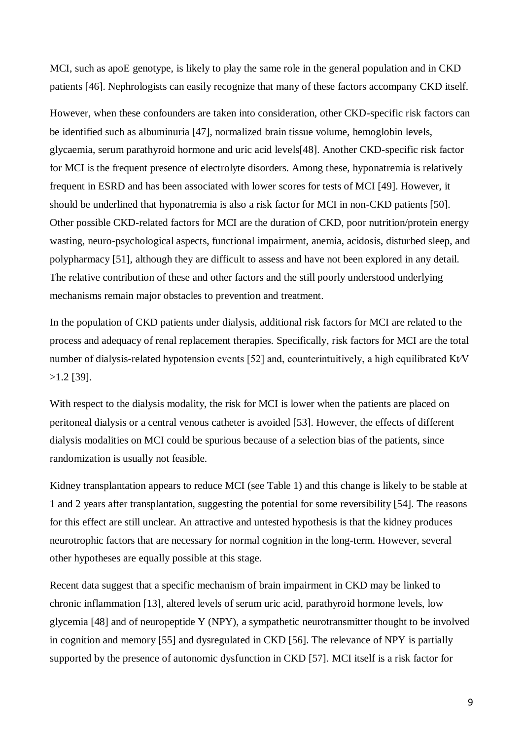MCI, such as apoE genotype, is likely to play the same role in the general population and in CKD patients [46]. Nephrologists can easily recognize that many of these factors accompany CKD itself.

However, when these confounders are taken into consideration, other CKD-specific risk factors can be identified such as albuminuria [47], normalized brain tissue volume, hemoglobin levels, glycaemia, serum parathyroid hormone and uric acid levels[48]. Another CKD-specific risk factor for MCI is the frequent presence of electrolyte disorders. Among these, hyponatremia is relatively frequent in ESRD and has been associated with lower scores for tests of MCI [49]. However, it should be underlined that hyponatremia is also a risk factor for MCI in non-CKD patients [50]. Other possible CKD-related factors for MCI are the duration of CKD, poor nutrition/protein energy wasting, neuro-psychological aspects, functional impairment, anemia, acidosis, disturbed sleep, and polypharmacy [51], although they are difficult to assess and have not been explored in any detail. The relative contribution of these and other factors and the still poorly understood underlying mechanisms remain major obstacles to prevention and treatment.

In the population of CKD patients under dialysis, additional risk factors for MCI are related to the process and adequacy of renal replacement therapies. Specifically, risk factors for MCI are the total number of dialysis-related hypotension events [52] and, counterintuitively, a high equilibrated Kt⁄V >1.2 [39].

With respect to the dialysis modality, the risk for MCI is lower when the patients are placed on peritoneal dialysis or a central venous catheter is avoided [53]. However, the effects of different dialysis modalities on MCI could be spurious because of a selection bias of the patients, since randomization is usually not feasible.

Kidney transplantation appears to reduce MCI (see Table 1) and this change is likely to be stable at 1 and 2 years after transplantation, suggesting the potential for some reversibility [54]. The reasons for this effect are still unclear. An attractive and untested hypothesis is that the kidney produces neurotrophic factors that are necessary for normal cognition in the long-term. However, several other hypotheses are equally possible at this stage.

Recent data suggest that a specific mechanism of brain impairment in CKD may be linked to chronic inflammation [13], altered levels of serum uric acid, parathyroid hormone levels, low glycemia [48] and of neuropeptide Y (NPY), a sympathetic neurotransmitter thought to be involved in cognition and memory [55] and dysregulated in CKD [56]. The relevance of NPY is partially supported by the presence of autonomic dysfunction in CKD [57]. MCI itself is a risk factor for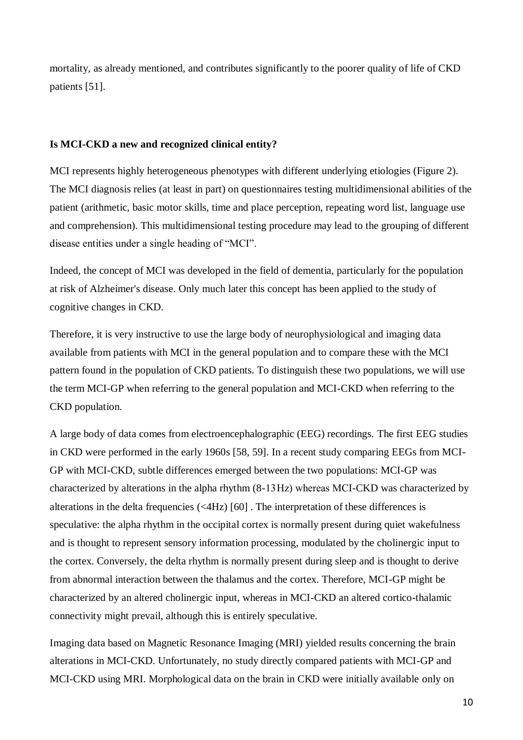mortality, as already mentioned, and contributes significantly to the poorer quality of life of CKD patients [51].

## **Is MCI-CKD a new and recognized clinical entity?**

MCI represents highly heterogeneous phenotypes with different underlying etiologies (Figure 2). The MCI diagnosis relies (at least in part) on questionnaires testing multidimensional abilities of the patient (arithmetic, basic motor skills, time and place perception, repeating word list, language use and comprehension). This multidimensional testing procedure may lead to the grouping of different disease entities under a single heading of "MCI".

Indeed, the concept of MCI was developed in the field of dementia, particularly for the population at risk of Alzheimer's disease. Only much later this concept has been applied to the study of cognitive changes in CKD.

Therefore, it is very instructive to use the large body of neurophysiological and imaging data available from patients with MCI in the general population and to compare these with the MCI pattern found in the population of CKD patients. To distinguish these two populations, we will use the term MCI-GP when referring to the general population and MCI-CKD when referring to the CKD population.

A large body of data comes from electroencephalographic (EEG) recordings. The first EEG studies in CKD were performed in the early 1960s [58, 59]. In a recent study comparing EEGs from MCI-GP with MCI-CKD, subtle differences emerged between the two populations: MCI-GP was characterized by alterations in the alpha rhythm (8-13 Hz) whereas MCI-CKD was characterized by alterations in the delta frequencies (<4Hz) [60] . The interpretation of these differences is speculative: the alpha rhythm in the occipital cortex is normally present during quiet wakefulness and is thought to represent sensory information processing, modulated by the cholinergic input to the cortex. Conversely, the delta rhythm is normally present during sleep and is thought to derive from abnormal interaction between the thalamus and the cortex. Therefore, MCI-GP might be characterized by an altered cholinergic input, whereas in MCI-CKD an altered cortico-thalamic connectivity might prevail, although this is entirely speculative.

Imaging data based on Magnetic Resonance Imaging (MRI) yielded results concerning the brain alterations in MCI-CKD. Unfortunately, no study directly compared patients with MCI-GP and MCI-CKD using MRI. Morphological data on the brain in CKD were initially available only on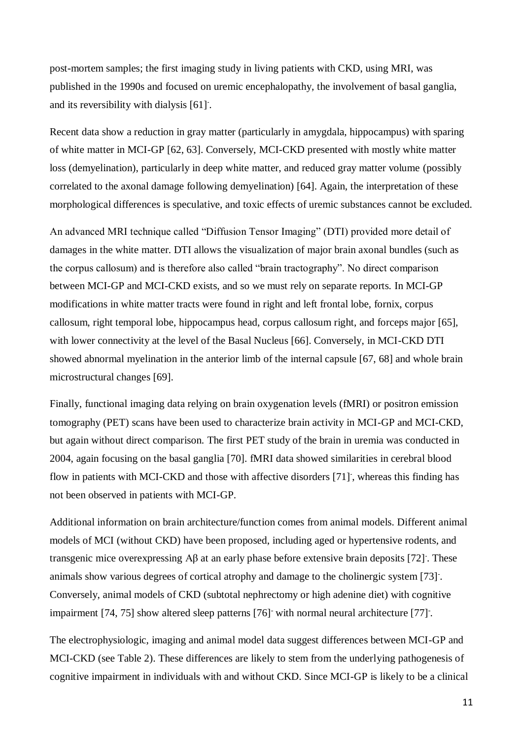post-mortem samples; the first imaging study in living patients with CKD, using MRI, was published in the 1990s and focused on uremic encephalopathy, the involvement of basal ganglia, and its reversibility with dialysis [61] .

Recent data show a reduction in gray matter (particularly in amygdala, hippocampus) with sparing of white matter in MCI-GP [62, 63]. Conversely, MCI-CKD presented with mostly white matter loss (demyelination), particularly in deep white matter, and reduced gray matter volume (possibly correlated to the axonal damage following demyelination) [64]. Again, the interpretation of these morphological differences is speculative, and toxic effects of uremic substances cannot be excluded.

An advanced MRI technique called "Diffusion Tensor Imaging" (DTI) provided more detail of damages in the white matter. DTI allows the visualization of major brain axonal bundles (such as the corpus callosum) and is therefore also called "brain tractography". No direct comparison between MCI-GP and MCI-CKD exists, and so we must rely on separate reports. In MCI-GP modifications in white matter tracts were found in right and left frontal lobe, fornix, corpus callosum, right temporal lobe, hippocampus head, corpus callosum right, and forceps major [65], with lower connectivity at the level of the Basal Nucleus [66]. Conversely, in MCI-CKD DTI showed abnormal myelination in the anterior limb of the internal capsule [67, 68] and whole brain microstructural changes [69].

Finally, functional imaging data relying on brain oxygenation levels (fMRI) or positron emission tomography (PET) scans have been used to characterize brain activity in MCI-GP and MCI-CKD, but again without direct comparison. The first PET study of the brain in uremia was conducted in 2004, again focusing on the basal ganglia [70]. fMRI data showed similarities in cerebral blood flow in patients with MCI-CKD and those with affective disorders [71] , whereas this finding has not been observed in patients with MCI-GP.

Additional information on brain architecture/function comes from animal models. Different animal models of MCI (without CKD) have been proposed, including aged or hypertensive rodents, and transgenic mice overexpressing Aβ at an early phase before extensive brain deposits [72] . These animals show various degrees of cortical atrophy and damage to the cholinergic system [73] . Conversely, animal models of CKD (subtotal nephrectomy or high adenine diet) with cognitive impairment [74, 75] show altered sleep patterns [76] with normal neural architecture [77] .

The electrophysiologic, imaging and animal model data suggest differences between MCI-GP and MCI-CKD (see Table 2). These differences are likely to stem from the underlying pathogenesis of cognitive impairment in individuals with and without CKD. Since MCI-GP is likely to be a clinical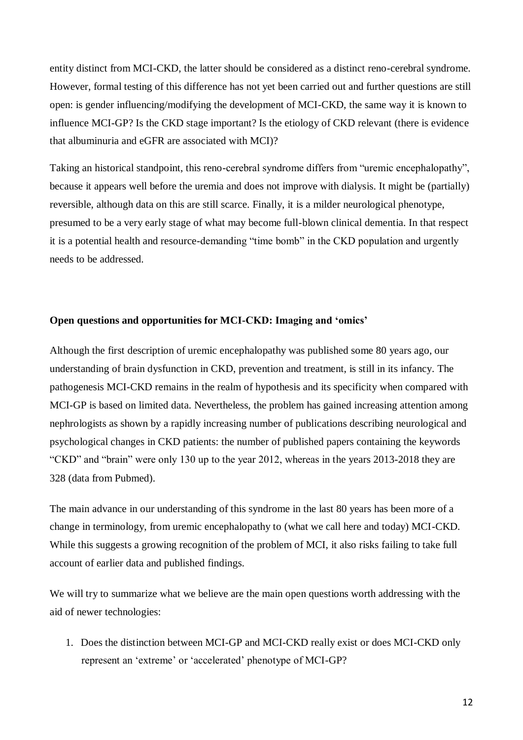entity distinct from MCI-CKD, the latter should be considered as a distinct reno-cerebral syndrome. However, formal testing of this difference has not yet been carried out and further questions are still open: is gender influencing/modifying the development of MCI-CKD, the same way it is known to influence MCI-GP? Is the CKD stage important? Is the etiology of CKD relevant (there is evidence that albuminuria and eGFR are associated with MCI)?

Taking an historical standpoint, this reno-cerebral syndrome differs from "uremic encephalopathy", because it appears well before the uremia and does not improve with dialysis. It might be (partially) reversible, although data on this are still scarce. Finally, it is a milder neurological phenotype, presumed to be a very early stage of what may become full-blown clinical dementia. In that respect it is a potential health and resource-demanding "time bomb" in the CKD population and urgently needs to be addressed.

## **Open questions and opportunities for MCI-CKD: Imaging and 'omics'**

Although the first description of uremic encephalopathy was published some 80 years ago, our understanding of brain dysfunction in CKD, prevention and treatment, is still in its infancy. The pathogenesis MCI-CKD remains in the realm of hypothesis and its specificity when compared with MCI-GP is based on limited data. Nevertheless, the problem has gained increasing attention among nephrologists as shown by a rapidly increasing number of publications describing neurological and psychological changes in CKD patients: the number of published papers containing the keywords "CKD" and "brain" were only 130 up to the year 2012, whereas in the years 2013-2018 they are 328 (data from Pubmed).

The main advance in our understanding of this syndrome in the last 80 years has been more of a change in terminology, from uremic encephalopathy to (what we call here and today) MCI-CKD. While this suggests a growing recognition of the problem of MCI, it also risks failing to take full account of earlier data and published findings.

We will try to summarize what we believe are the main open questions worth addressing with the aid of newer technologies:

1. Does the distinction between MCI-GP and MCI-CKD really exist or does MCI-CKD only represent an 'extreme' or 'accelerated' phenotype of MCI-GP?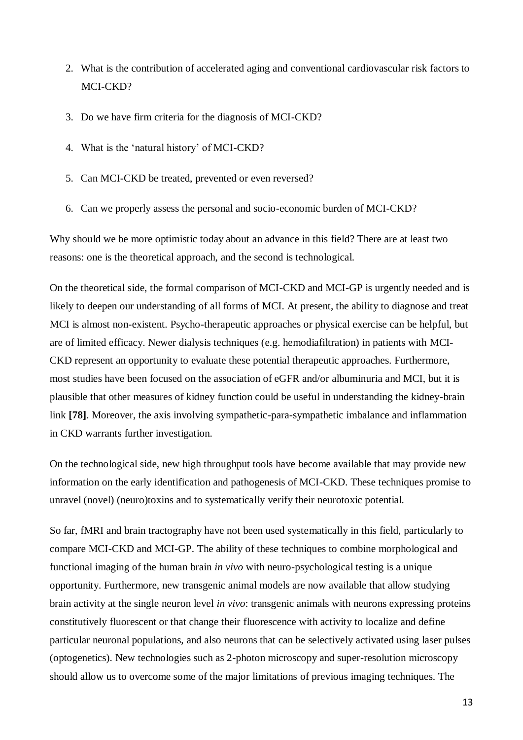- 2. What is the contribution of accelerated aging and conventional cardiovascular risk factors to MCI-CKD?
- 3. Do we have firm criteria for the diagnosis of MCI-CKD?
- 4. What is the 'natural history' of MCI-CKD?
- 5. Can MCI-CKD be treated, prevented or even reversed?
- 6. Can we properly assess the personal and socio-economic burden of MCI-CKD?

Why should we be more optimistic today about an advance in this field? There are at least two reasons: one is the theoretical approach, and the second is technological.

On the theoretical side, the formal comparison of MCI-CKD and MCI-GP is urgently needed and is likely to deepen our understanding of all forms of MCI. At present, the ability to diagnose and treat MCI is almost non-existent. Psycho-therapeutic approaches or physical exercise can be helpful, but are of limited efficacy. Newer dialysis techniques (e.g. hemodiafiltration) in patients with MCI-CKD represent an opportunity to evaluate these potential therapeutic approaches. Furthermore, most studies have been focused on the association of eGFR and/or albuminuria and MCI, but it is plausible that other measures of kidney function could be useful in understanding the kidney-brain link **[78]**. Moreover, the axis involving sympathetic-para-sympathetic imbalance and inflammation in CKD warrants further investigation.

On the technological side, new high throughput tools have become available that may provide new information on the early identification and pathogenesis of MCI-CKD. These techniques promise to unravel (novel) (neuro)toxins and to systematically verify their neurotoxic potential.

So far, fMRI and brain tractography have not been used systematically in this field, particularly to compare MCI-CKD and MCI-GP. The ability of these techniques to combine morphological and functional imaging of the human brain *in vivo* with neuro-psychological testing is a unique opportunity. Furthermore, new transgenic animal models are now available that allow studying brain activity at the single neuron level *in vivo*: transgenic animals with neurons expressing proteins constitutively fluorescent or that change their fluorescence with activity to localize and define particular neuronal populations, and also neurons that can be selectively activated using laser pulses (optogenetics). New technologies such as 2-photon microscopy and super-resolution microscopy should allow us to overcome some of the major limitations of previous imaging techniques. The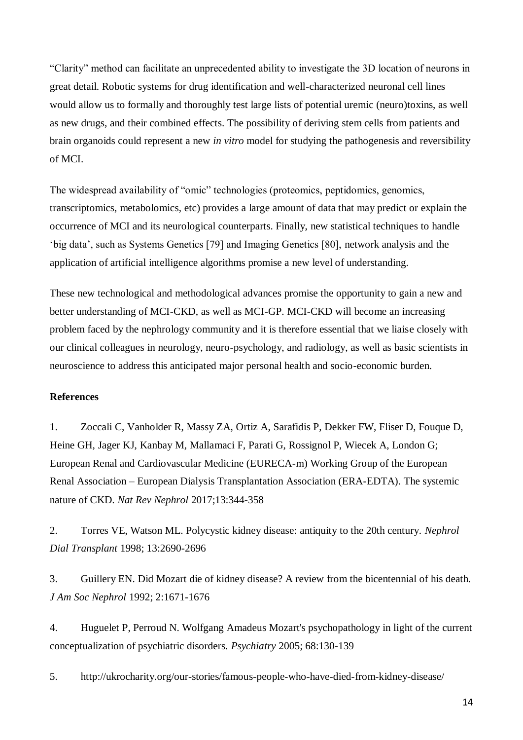"Clarity" method can facilitate an unprecedented ability to investigate the 3D location of neurons in great detail. Robotic systems for drug identification and well-characterized neuronal cell lines would allow us to formally and thoroughly test large lists of potential uremic (neuro)toxins, as well as new drugs, and their combined effects. The possibility of deriving stem cells from patients and brain organoids could represent a new *in vitro* model for studying the pathogenesis and reversibility of MCI.

The widespread availability of "omic" technologies (proteomics, peptidomics, genomics, transcriptomics, metabolomics, etc) provides a large amount of data that may predict or explain the occurrence of MCI and its neurological counterparts. Finally, new statistical techniques to handle 'big data', such as Systems Genetics [79] and Imaging Genetics [80], network analysis and the application of artificial intelligence algorithms promise a new level of understanding.

These new technological and methodological advances promise the opportunity to gain a new and better understanding of MCI-CKD, as well as MCI-GP. MCI-CKD will become an increasing problem faced by the nephrology community and it is therefore essential that we liaise closely with our clinical colleagues in neurology, neuro-psychology, and radiology, as well as basic scientists in neuroscience to address this anticipated major personal health and socio-economic burden.

# **References**

1. Zoccali C, Vanholder R, Massy ZA, Ortiz A, Sarafidis P, Dekker FW, Fliser D, Fouque D, Heine GH, Jager KJ, Kanbay M, Mallamaci F, Parati G, Rossignol P, Wiecek A, London G; European Renal and Cardiovascular Medicine (EURECA-m) Working Group of the European Renal Association – European Dialysis Transplantation Association (ERA-EDTA). The systemic nature of CKD. *Nat Rev Nephrol* 2017;13:344-358

2. Torres VE, Watson ML. Polycystic kidney disease: antiquity to the 20th century. *Nephrol Dial Transplant* 1998; 13:2690-2696

3. Guillery EN. Did Mozart die of kidney disease? A review from the bicentennial of his death. *J Am Soc Nephrol* 1992; 2:1671-1676

4. Huguelet P, Perroud N. Wolfgang Amadeus Mozart's psychopathology in light of the current conceptualization of psychiatric disorders. *Psychiatry* 2005; 68:130-139

5. http://ukrocharity.org/our-stories/famous-people-who-have-died-from-kidney-disease/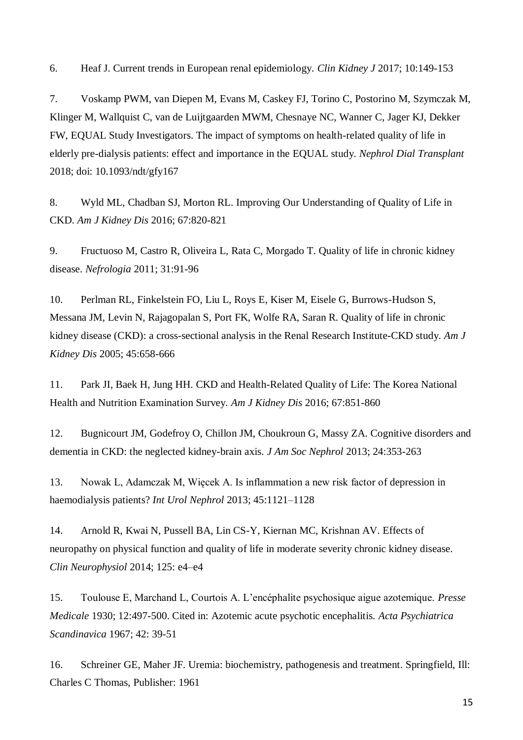6. Heaf J. Current trends in European renal epidemiology. *Clin Kidney J* 2017; 10:149-153

7. Voskamp PWM, van Diepen M, Evans M, Caskey FJ, Torino C, Postorino M, Szymczak M, Klinger M, Wallquist C, van de Luijtgaarden MWM, Chesnaye NC, Wanner C, Jager KJ, Dekker FW, EQUAL Study Investigators. The impact of symptoms on health-related quality of life in elderly pre-dialysis patients: effect and importance in the EQUAL study. *Nephrol Dial Transplant* 2018; doi: 10.1093/ndt/gfy167

8. Wyld ML, Chadban SJ, Morton RL. Improving Our Understanding of Quality of Life in CKD. *Am J Kidney Dis* 2016; 67:820-821

9. Fructuoso M, Castro R, Oliveira L, Rata C, Morgado T. Quality of life in chronic kidney disease. *Nefrologia* 2011; 31:91-96

10. Perlman RL, Finkelstein FO, Liu L, Roys E, Kiser M, Eisele G, Burrows-Hudson S, Messana JM, Levin N, Rajagopalan S, Port FK, Wolfe RA, Saran R. Quality of life in chronic kidney disease (CKD): a cross-sectional analysis in the Renal Research Institute-CKD study. *Am J Kidney Dis* 2005; 45:658-666

11. Park JI, Baek H, Jung HH. CKD and Health-Related Quality of Life: The Korea National Health and Nutrition Examination Survey. *Am J Kidney Dis* 2016; 67:851-860

12. Bugnicourt JM, Godefroy O, Chillon JM, Choukroun G, Massy ZA. Cognitive disorders and dementia in CKD: the neglected kidney-brain axis. *J Am Soc Nephrol* 2013; 24:353-263

13. Nowak L, Adamczak M, Więcek A. Is inflammation a new risk factor of depression in haemodialysis patients? *Int Urol Nephrol* 2013; 45:1121–1128

14. Arnold R, Kwai N, Pussell BA, Lin CS-Y, Kiernan MC, Krishnan AV. Effects of neuropathy on physical function and quality of life in moderate severity chronic kidney disease. *Clin Neurophysiol* 2014; 125: e4–e4

15. Toulouse E, Marchand L, Courtois A. L'encéphalite psychosique aigue azotemique. *Presse Medicale* 1930; 12:497-500. Cited in: Azotemic acute psychotic encephalitis*. Acta Psychiatrica Scandinavica* 1967; 42: 39-51

16. Schreiner GE, Maher JF. Uremia: biochemistry, pathogenesis and treatment. Springfield, Ill: Charles C Thomas, Publisher: 1961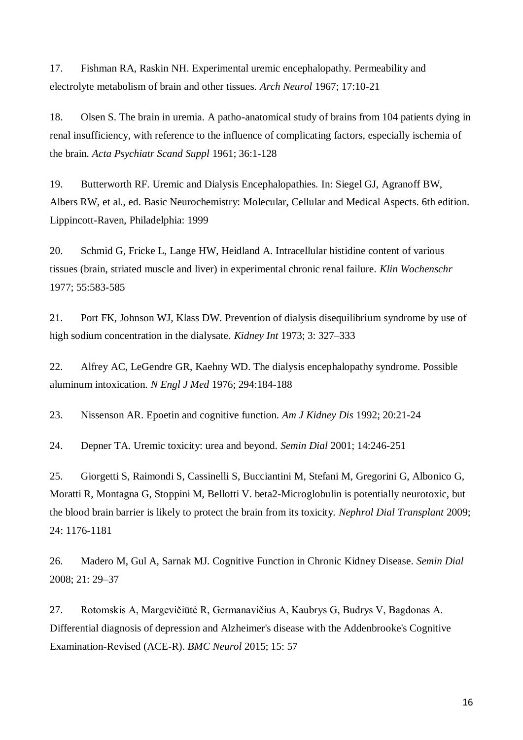17. Fishman RA, Raskin NH. Experimental uremic encephalopathy. Permeability and electrolyte metabolism of brain and other tissues. *Arch Neurol* 1967; 17:10-21

18. Olsen S. The brain in uremia. A patho-anatomical study of brains from 104 patients dying in renal insufficiency, with reference to the influence of complicating factors, especially ischemia of the brain. *Acta Psychiatr Scand Suppl* 1961; 36:1-128

19. Butterworth RF. Uremic and Dialysis Encephalopathies. In: Siegel GJ, Agranoff BW, Albers RW, et al., ed. Basic Neurochemistry: Molecular, Cellular and Medical Aspects. 6th edition. Lippincott-Raven, Philadelphia: 1999

20. Schmid G, Fricke L, Lange HW, Heidland A. Intracellular histidine content of various tissues (brain, striated muscle and liver) in experimental chronic renal failure. *Klin Wochenschr* 1977; 55:583-585

21. Port FK, Johnson WJ, Klass DW. Prevention of dialysis disequilibrium syndrome by use of high sodium concentration in the dialysate. *Kidney Int* 1973; 3: 327–333

22. Alfrey AC, LeGendre GR, Kaehny WD. The dialysis encephalopathy syndrome. Possible aluminum intoxication. *N Engl J Med* 1976; 294:184-188

23. Nissenson AR. Epoetin and cognitive function. *Am J Kidney Dis* 1992; 20:21-24

24. Depner TA. Uremic toxicity: urea and beyond. *Semin Dial* 2001; 14:246-251

25. Giorgetti S, Raimondi S, Cassinelli S, Bucciantini M, Stefani M, Gregorini G, Albonico G, Moratti R, Montagna G, Stoppini M, Bellotti V. beta2-Microglobulin is potentially neurotoxic, but the blood brain barrier is likely to protect the brain from its toxicity. *Nephrol Dial Transplant* 2009; 24: 1176-1181

26. Madero M, Gul A, Sarnak MJ. Cognitive Function in Chronic Kidney Disease. *Semin Dial* 2008; 21: 29–37

27. Rotomskis A, Margevičiūtė R, Germanavičius A, Kaubrys G, Budrys V, Bagdonas A. Differential diagnosis of depression and Alzheimer's disease with the Addenbrooke's Cognitive Examination-Revised (ACE-R). *BMC Neurol* 2015; 15: 57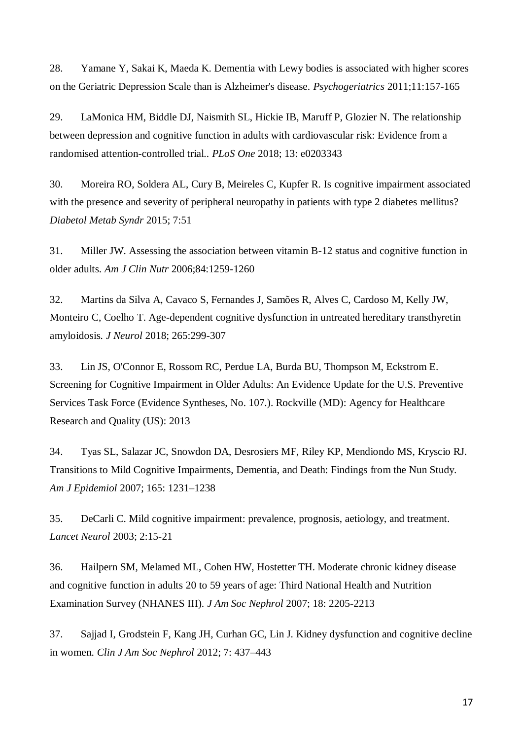28. Yamane Y, Sakai K, Maeda K. Dementia with Lewy bodies is associated with higher scores on the Geriatric Depression Scale than is Alzheimer's disease. *Psychogeriatrics* 2011;11:157-165

29. LaMonica HM, Biddle DJ, Naismith SL, Hickie IB, Maruff P, Glozier N. The relationship between depression and cognitive function in adults with cardiovascular risk: Evidence from a randomised attention-controlled trial.. *PLoS One* 2018; 13: e0203343

30. Moreira RO, Soldera AL, Cury B, Meireles C, Kupfer R. Is cognitive impairment associated with the presence and severity of peripheral neuropathy in patients with type 2 diabetes mellitus? *Diabetol Metab Syndr* 2015; 7:51

31. Miller JW. Assessing the association between vitamin B-12 status and cognitive function in older adults. *Am J Clin Nutr* 2006;84:1259-1260

32. Martins da Silva A, Cavaco S, Fernandes J, Samões R, Alves C, Cardoso M, Kelly JW, Monteiro C, Coelho T. Age-dependent cognitive dysfunction in untreated hereditary transthyretin amyloidosis*. J Neurol* 2018; 265:299-307

33. Lin JS, O'Connor E, Rossom RC, Perdue LA, Burda BU, Thompson M, Eckstrom E. Screening for Cognitive Impairment in Older Adults: An Evidence Update for the U.S. Preventive Services Task Force (Evidence Syntheses, No. 107.). Rockville (MD): Agency for Healthcare Research and Quality (US): 2013

34. Tyas SL, Salazar JC, Snowdon DA, Desrosiers MF, Riley KP, Mendiondo MS, Kryscio RJ. Transitions to Mild Cognitive Impairments, Dementia, and Death: Findings from the Nun Study. *Am J Epidemiol* 2007; 165: 1231–1238

35. DeCarli C. Mild cognitive impairment: prevalence, prognosis, aetiology, and treatment. *Lancet Neurol* 2003; 2:15-21

36. Hailpern SM, Melamed ML, Cohen HW, Hostetter TH. Moderate chronic kidney disease and cognitive function in adults 20 to 59 years of age: Third National Health and Nutrition Examination Survey (NHANES III). *J Am Soc Nephrol* 2007; 18: 2205-2213

37. Sajjad I, Grodstein F, Kang JH, Curhan GC, Lin J. Kidney dysfunction and cognitive decline in women. *Clin J Am Soc Nephrol* 2012; 7: 437–443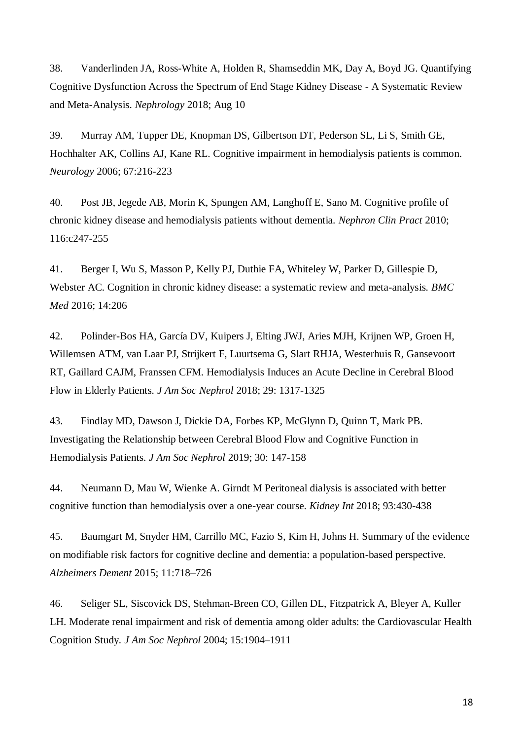38. Vanderlinden JA, Ross-White A, Holden R, Shamseddin MK, Day A, Boyd JG. Quantifying Cognitive Dysfunction Across the Spectrum of End Stage Kidney Disease - A Systematic Review and Meta-Analysis. *Nephrology* 2018; Aug 10

39. Murray AM, Tupper DE, Knopman DS, Gilbertson DT, Pederson SL, Li S, Smith GE, Hochhalter AK, Collins AJ, Kane RL. Cognitive impairment in hemodialysis patients is common. *Neurology* 2006; 67:216-223

40. Post JB, Jegede AB, Morin K, Spungen AM, Langhoff E, Sano M. Cognitive profile of chronic kidney disease and hemodialysis patients without dementia. *Nephron Clin Pract* 2010; 116:c247-255

41. Berger I, Wu S, Masson P, Kelly PJ, Duthie FA, Whiteley W, Parker D, Gillespie D, Webster AC. Cognition in chronic kidney disease: a systematic review and meta-analysis*. BMC Med* 2016; 14:206

42. Polinder-Bos HA, García DV, Kuipers J, Elting JWJ, Aries MJH, Krijnen WP, Groen H, Willemsen ATM, van Laar PJ, Strijkert F, Luurtsema G, Slart RHJA, Westerhuis R, Gansevoort RT, Gaillard CAJM, Franssen CFM. Hemodialysis Induces an Acute Decline in Cerebral Blood Flow in Elderly Patients. *J Am Soc Nephrol* 2018; 29: 1317-1325

43. Findlay MD, Dawson J, Dickie DA, Forbes KP, McGlynn D, Quinn T, Mark PB. Investigating the Relationship between Cerebral Blood Flow and Cognitive Function in Hemodialysis Patients. *J Am Soc Nephrol* 2019; 30: 147-158

44. Neumann D, Mau W, Wienke A. Girndt M Peritoneal dialysis is associated with better cognitive function than hemodialysis over a one-year course. *Kidney Int* 2018; 93:430-438

45. Baumgart M, Snyder HM, Carrillo MC, Fazio S, Kim H, Johns H. Summary of the evidence on modifiable risk factors for cognitive decline and dementia: a population-based perspective. *Alzheimers Dement* 2015; 11:718–726

46. Seliger SL, Siscovick DS, Stehman-Breen CO, Gillen DL, Fitzpatrick A, Bleyer A, Kuller LH. Moderate renal impairment and risk of dementia among older adults: the Cardiovascular Health Cognition Study*. J Am Soc Nephrol* 2004; 15:1904–1911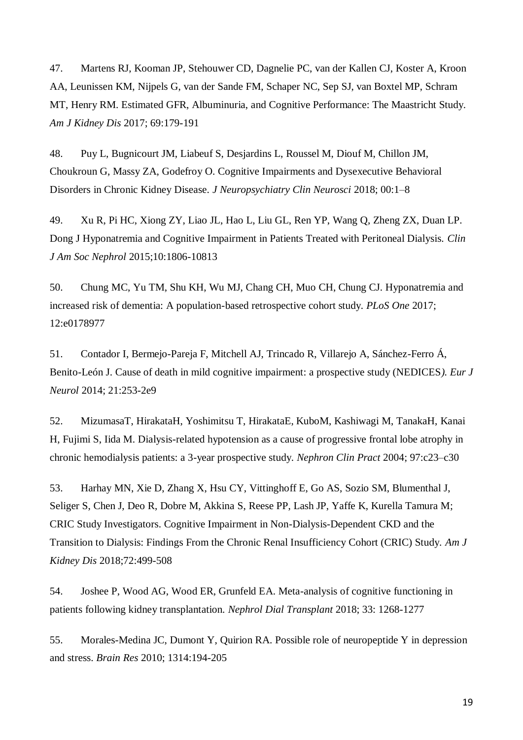47. Martens RJ, Kooman JP, Stehouwer CD, Dagnelie PC, van der Kallen CJ, Koster A, Kroon AA, Leunissen KM, Nijpels G, van der Sande FM, Schaper NC, Sep SJ, van Boxtel MP, Schram MT, Henry RM. Estimated GFR, Albuminuria, and Cognitive Performance: The Maastricht Study. *Am J Kidney Dis* 2017; 69:179-191

48. Puy L, Bugnicourt JM, Liabeuf S, Desjardins L, Roussel M, Diouf M, Chillon JM, Choukroun G, Massy ZA, Godefroy O. Cognitive Impairments and Dysexecutive Behavioral Disorders in Chronic Kidney Disease*. J Neuropsychiatry Clin Neurosci* 2018; 00:1–8

49. Xu R, Pi HC, Xiong ZY, Liao JL, Hao L, Liu GL, Ren YP, Wang Q, Zheng ZX, Duan LP. Dong J Hyponatremia and Cognitive Impairment in Patients Treated with Peritoneal Dialysis. *Clin J Am Soc Nephrol* 2015;10:1806-10813

50. Chung MC, Yu TM, Shu KH, Wu MJ, Chang CH, Muo CH, Chung CJ. Hyponatremia and increased risk of dementia: A population-based retrospective cohort study*. PLoS One* 2017; 12:e0178977

51. Contador I, Bermejo-Pareja F, Mitchell AJ, Trincado R, Villarejo A, Sánchez-Ferro Á, Benito-León J. Cause of death in mild cognitive impairment: a prospective study (NEDICES*). Eur J Neurol* 2014; 21:253-2e9

52. MizumasaT, HirakataH, Yoshimitsu T, HirakataE, KuboM, Kashiwagi M, TanakaH, Kanai H, Fujimi S, Iida M. Dialysis-related hypotension as a cause of progressive frontal lobe atrophy in chronic hemodialysis patients: a 3-year prospective study. *Nephron Clin Pract* 2004; 97:c23–c30

53. Harhay MN, Xie D, Zhang X, Hsu CY, Vittinghoff E, Go AS, Sozio SM, Blumenthal J, Seliger S, Chen J, Deo R, Dobre M, Akkina S, Reese PP, Lash JP, Yaffe K, Kurella Tamura M; CRIC Study Investigators. Cognitive Impairment in Non-Dialysis-Dependent CKD and the Transition to Dialysis: Findings From the Chronic Renal Insufficiency Cohort (CRIC) Study. *Am J Kidney Dis* 2018;72:499-508

54. Joshee P, Wood AG, Wood ER, Grunfeld EA. Meta-analysis of cognitive functioning in patients following kidney transplantation. *Nephrol Dial Transplant* 2018; 33: 1268-1277

55. Morales-Medina JC, Dumont Y, Quirion RA. Possible role of neuropeptide Y in depression and stress. *Brain Res* 2010; 1314:194-205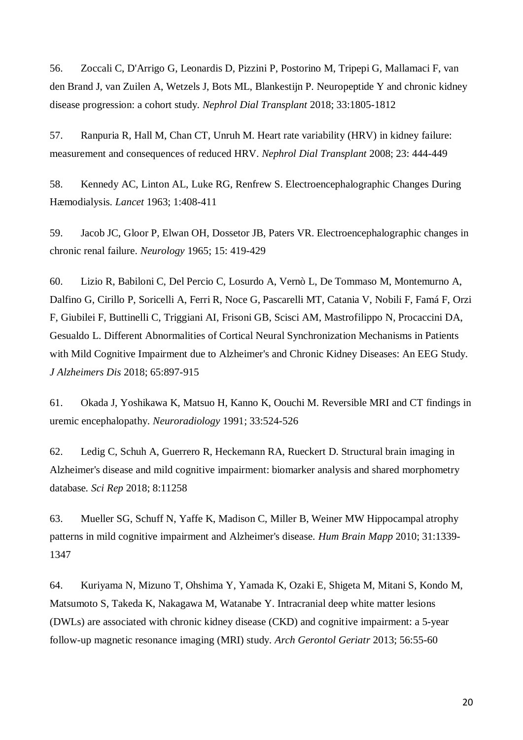56. Zoccali C, D'Arrigo G, Leonardis D, Pizzini P, Postorino M, Tripepi G, Mallamaci F, van den Brand J, van Zuilen A, Wetzels J, Bots ML, Blankestijn P. Neuropeptide Y and chronic kidney disease progression: a cohort study. *Nephrol Dial Transplant* 2018; 33:1805-1812

57. Ranpuria R, Hall M, Chan CT, Unruh M. Heart rate variability (HRV) in kidney failure: measurement and consequences of reduced HRV. *Nephrol Dial Transplant* 2008; 23: 444-449

58. Kennedy AC, Linton AL, Luke RG, Renfrew S. Electroencephalographic Changes During Hæmodialysis. *Lancet* 1963; 1:408-411

59. Jacob JC, Gloor P, Elwan OH, Dossetor JB, Paters VR. Electroencephalographic changes in chronic renal failure. *Neurology* 1965; 15: 419-429

60. Lizio R, Babiloni C, Del Percio C, Losurdo A, Vernò L, De Tommaso M, Montemurno A, Dalfino G, Cirillo P, Soricelli A, Ferri R, Noce G, Pascarelli MT, Catania V, Nobili F, Famá F, Orzi F, Giubilei F, Buttinelli C, Triggiani AI, Frisoni GB, Scisci AM, Mastrofilippo N, Procaccini DA, Gesualdo L. Different Abnormalities of Cortical Neural Synchronization Mechanisms in Patients with Mild Cognitive Impairment due to Alzheimer's and Chronic Kidney Diseases: An EEG Study. *J Alzheimers Dis* 2018; 65:897-915

61. Okada J, Yoshikawa K, Matsuo H, Kanno K, Oouchi M. Reversible MRI and CT findings in uremic encephalopathy. *Neuroradiology* 1991; 33:524-526

62. Ledig C, Schuh A, Guerrero R, Heckemann RA, Rueckert D. Structural brain imaging in Alzheimer's disease and mild cognitive impairment: biomarker analysis and shared morphometry database*. Sci Rep* 2018; 8:11258

63. Mueller SG, Schuff N, Yaffe K, Madison C, Miller B, Weiner MW Hippocampal atrophy patterns in mild cognitive impairment and Alzheimer's disease. *Hum Brain Mapp* 2010; 31:1339- 1347

64. Kuriyama N, Mizuno T, Ohshima Y, Yamada K, Ozaki E, Shigeta M, Mitani S, Kondo M, Matsumoto S, Takeda K, Nakagawa M, Watanabe Y. Intracranial deep white matter lesions (DWLs) are associated with chronic kidney disease (CKD) and cognitive impairment: a 5-year follow-up magnetic resonance imaging (MRI) study. *Arch Gerontol Geriatr* 2013; 56:55-60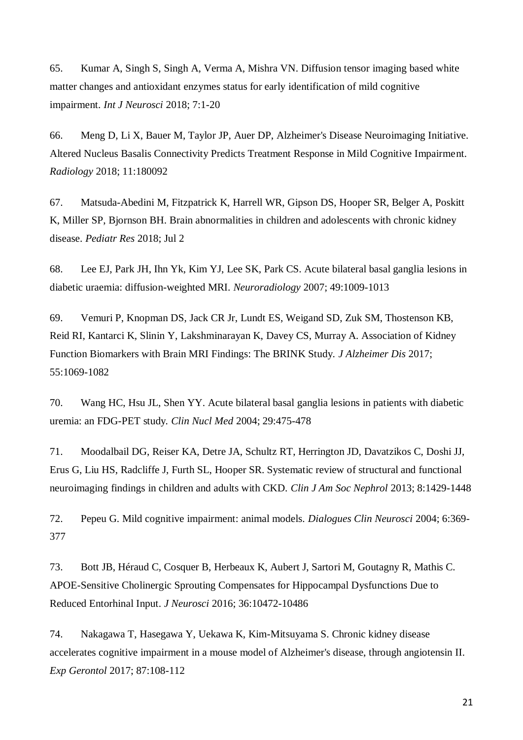65. Kumar A, Singh S, Singh A, Verma A, Mishra VN. Diffusion tensor imaging based white matter changes and antioxidant enzymes status for early identification of mild cognitive impairment. *Int J Neurosci* 2018; 7:1-20

66. Meng D, Li X, Bauer M, Taylor JP, Auer DP, Alzheimer's Disease Neuroimaging Initiative. Altered Nucleus Basalis Connectivity Predicts Treatment Response in Mild Cognitive Impairment. *Radiology* 2018; 11:180092

67. Matsuda-Abedini M, Fitzpatrick K, Harrell WR, Gipson DS, Hooper SR, Belger A, Poskitt K, Miller SP, Bjornson BH. Brain abnormalities in children and adolescents with chronic kidney disease. *Pediatr Res* 2018; Jul 2

68. Lee EJ, Park JH, Ihn Yk, Kim YJ, Lee SK, Park CS. Acute bilateral basal ganglia lesions in diabetic uraemia: diffusion-weighted MRI. *Neuroradiology* 2007; 49:1009-1013

69. Vemuri P, Knopman DS, Jack CR Jr, Lundt ES, Weigand SD, Zuk SM, Thostenson KB, Reid RI, Kantarci K, Slinin Y, Lakshminarayan K, Davey CS, Murray A. Association of Kidney Function Biomarkers with Brain MRI Findings: The BRINK Study. *J Alzheimer Dis* 2017; 55:1069-1082

70. Wang HC, Hsu JL, Shen YY. Acute bilateral basal ganglia lesions in patients with diabetic uremia: an FDG-PET study*. Clin Nucl Med* 2004; 29:475-478

71. Moodalbail DG, Reiser KA, Detre JA, Schultz RT, Herrington JD, Davatzikos C, Doshi JJ, Erus G, Liu HS, Radcliffe J, Furth SL, Hooper SR. Systematic review of structural and functional neuroimaging findings in children and adults with CKD. *Clin J Am Soc Nephrol* 2013; 8:1429-1448

72. Pepeu G. Mild cognitive impairment: animal models. *Dialogues Clin Neurosci* 2004; 6:369- 377

73. Bott JB, Héraud C, Cosquer B, Herbeaux K, Aubert J, Sartori M, Goutagny R, Mathis C. APOE-Sensitive Cholinergic Sprouting Compensates for Hippocampal Dysfunctions Due to Reduced Entorhinal Input. *J Neurosci* 2016; 36:10472-10486

74. Nakagawa T, Hasegawa Y, Uekawa K, Kim-Mitsuyama S. Chronic kidney disease accelerates cognitive impairment in a mouse model of Alzheimer's disease, through angiotensin II. *Exp Gerontol* 2017; 87:108-112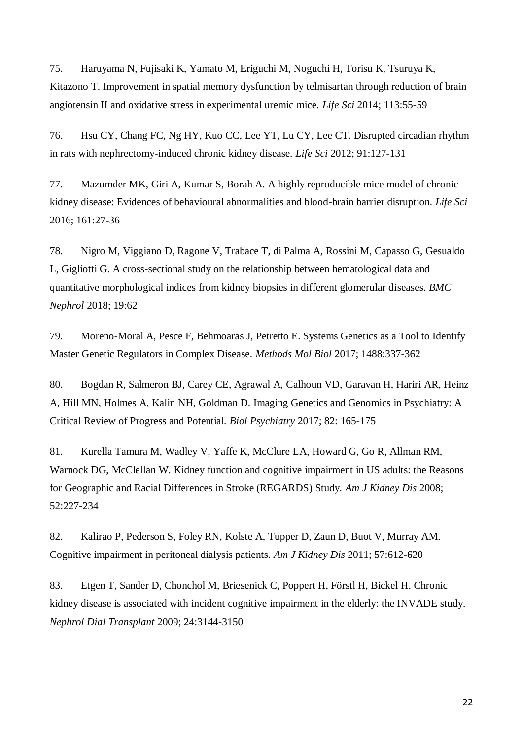75. Haruyama N, Fujisaki K, Yamato M, Eriguchi M, Noguchi H, Torisu K, Tsuruya K, Kitazono T. Improvement in spatial memory dysfunction by telmisartan through reduction of brain angiotensin II and oxidative stress in experimental uremic mice. *Life Sci* 2014; 113:55-59

76. Hsu CY, Chang FC, Ng HY, Kuo CC, Lee YT, Lu CY, Lee CT. Disrupted circadian rhythm in rats with nephrectomy-induced chronic kidney disease*. Life Sci* 2012; 91:127-131

77. Mazumder MK, Giri A, Kumar S, Borah A. A highly reproducible mice model of chronic kidney disease: Evidences of behavioural abnormalities and blood-brain barrier disruption. *Life Sci* 2016; 161:27-36

78. Nigro M, Viggiano D, Ragone V, Trabace T, di Palma A, Rossini M, Capasso G, Gesualdo L, Gigliotti G. A cross-sectional study on the relationship between hematological data and quantitative morphological indices from kidney biopsies in different glomerular diseases. *BMC Nephrol* 2018; 19:62

79. Moreno-Moral A, Pesce F, Behmoaras J, Petretto E. Systems Genetics as a Tool to Identify Master Genetic Regulators in Complex Disease. *Methods Mol Biol* 2017; 1488:337-362

80. Bogdan R, Salmeron BJ, Carey CE, Agrawal A, Calhoun VD, Garavan H, Hariri AR, Heinz A, Hill MN, Holmes A, Kalin NH, Goldman D. Imaging Genetics and Genomics in Psychiatry: A Critical Review of Progress and Potential. *Biol Psychiatry* 2017; 82: 165-175

81. Kurella Tamura M, Wadley V, Yaffe K, McClure LA, Howard G, Go R, Allman RM, Warnock DG, McClellan W. Kidney function and cognitive impairment in US adults: the Reasons for Geographic and Racial Differences in Stroke (REGARDS) Study. *Am J Kidney Dis* 2008; 52:227-234

82. Kalirao P, Pederson S, Foley RN, Kolste A, Tupper D, Zaun D, Buot V, Murray AM. Cognitive impairment in peritoneal dialysis patients. *Am J Kidney Dis* 2011; 57:612-620

83. Etgen T, Sander D, Chonchol M, Briesenick C, Poppert H, Förstl H, Bickel H. Chronic kidney disease is associated with incident cognitive impairment in the elderly: the INVADE study. *Nephrol Dial Transplant* 2009; 24:3144-3150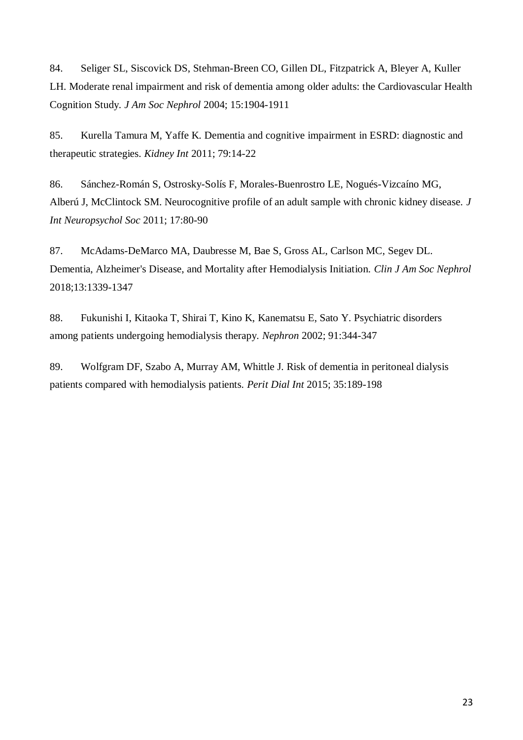84. Seliger SL, Siscovick DS, Stehman-Breen CO, Gillen DL, Fitzpatrick A, Bleyer A, Kuller LH. Moderate renal impairment and risk of dementia among older adults: the Cardiovascular Health Cognition Study*. J Am Soc Nephrol* 2004; 15:1904-1911

85. Kurella Tamura M, Yaffe K. Dementia and cognitive impairment in ESRD: diagnostic and therapeutic strategies. *Kidney Int* 2011; 79:14-22

86. Sánchez-Román S, Ostrosky-Solís F, Morales-Buenrostro LE, Nogués-Vizcaíno MG, Alberú J, McClintock SM. Neurocognitive profile of an adult sample with chronic kidney disease. *J Int Neuropsychol Soc* 2011; 17:80-90

87. McAdams-DeMarco MA, Daubresse M, Bae S, Gross AL, Carlson MC, Segev DL. Dementia, Alzheimer's Disease, and Mortality after Hemodialysis Initiation. *Clin J Am Soc Nephrol* 2018;13:1339-1347

88. Fukunishi I, Kitaoka T, Shirai T, Kino K, Kanematsu E, Sato Y. Psychiatric disorders among patients undergoing hemodialysis therapy. *Nephron* 2002; 91:344-347

89. Wolfgram DF, Szabo A, Murray AM, Whittle J. Risk of dementia in peritoneal dialysis patients compared with hemodialysis patients. *Perit Dial Int* 2015; 35:189-198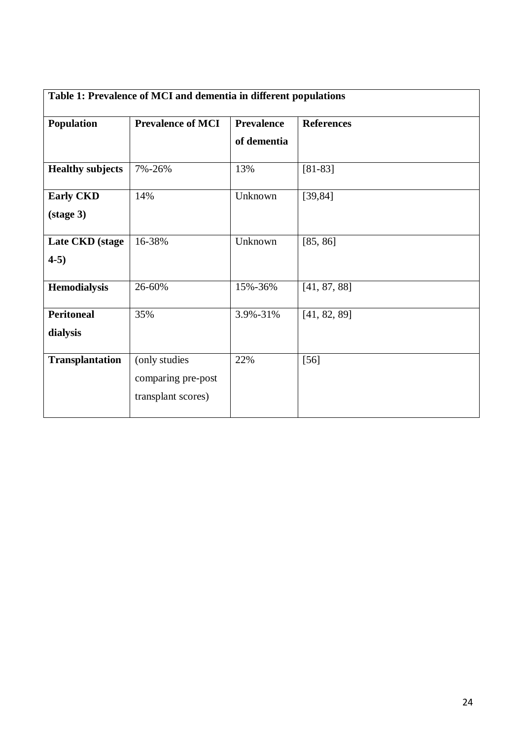| Table 1: Prevalence of MCI and dementia in different populations |                                                           |                                  |                   |  |
|------------------------------------------------------------------|-----------------------------------------------------------|----------------------------------|-------------------|--|
| Population                                                       | <b>Prevalence of MCI</b>                                  | <b>Prevalence</b><br>of dementia | <b>References</b> |  |
| <b>Healthy subjects</b>                                          | 7%-26%                                                    | 13%                              | $[81-83]$         |  |
| <b>Early CKD</b><br>$(\text{stage } 3)$                          | 14%                                                       | Unknown                          | [39, 84]          |  |
| Late CKD (stage<br>$4-5)$                                        | 16-38%                                                    | Unknown                          | [85, 86]          |  |
| <b>Hemodialysis</b>                                              | 26-60%                                                    | 15%-36%                          | [41, 87, 88]      |  |
| <b>Peritoneal</b><br>dialysis                                    | 35%                                                       | 3.9%-31%                         | [41, 82, 89]      |  |
| <b>Transplantation</b>                                           | (only studies<br>comparing pre-post<br>transplant scores) | 22%                              | $[56]$            |  |

# 24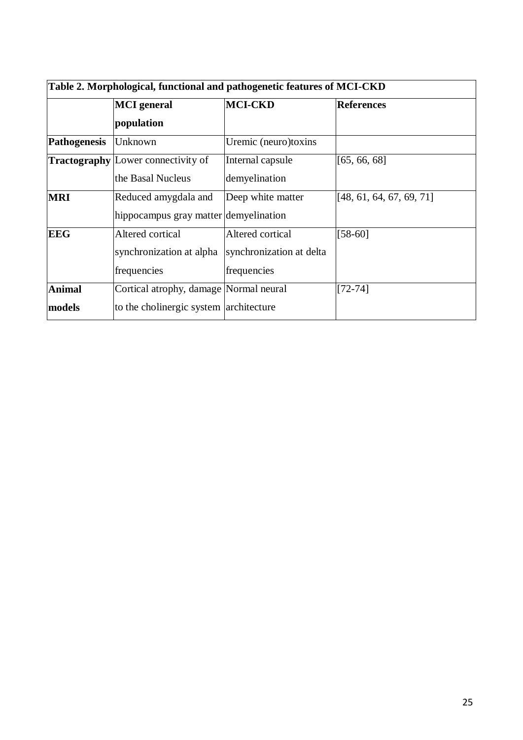| Table 2. Morphological, functional and pathogenetic features of MCI-CKD |                                           |                          |                          |  |  |
|-------------------------------------------------------------------------|-------------------------------------------|--------------------------|--------------------------|--|--|
|                                                                         | <b>MCI</b> general                        | <b>MCI-CKD</b>           | <b>References</b>        |  |  |
|                                                                         | population                                |                          |                          |  |  |
| <b>Pathogenesis</b>                                                     | Unknown                                   | Uremic (neuro)toxins     |                          |  |  |
|                                                                         | <b>Tractography</b> Lower connectivity of | Internal capsule         | [65, 66, 68]             |  |  |
|                                                                         | the Basal Nucleus                         | demyelination            |                          |  |  |
| <b>MRI</b>                                                              | Reduced amygdala and                      | Deep white matter        | [48, 61, 64, 67, 69, 71] |  |  |
|                                                                         | hippocampus gray matter demyelination     |                          |                          |  |  |
| <b>EEG</b>                                                              | Altered cortical                          | Altered cortical         | $[58-60]$                |  |  |
|                                                                         | synchronization at alpha                  | synchronization at delta |                          |  |  |
|                                                                         | frequencies                               | frequencies              |                          |  |  |
| <b>Animal</b>                                                           | Cortical atrophy, damage Normal neural    |                          | $[72 - 74]$              |  |  |
| models                                                                  | to the cholinergic system architecture    |                          |                          |  |  |